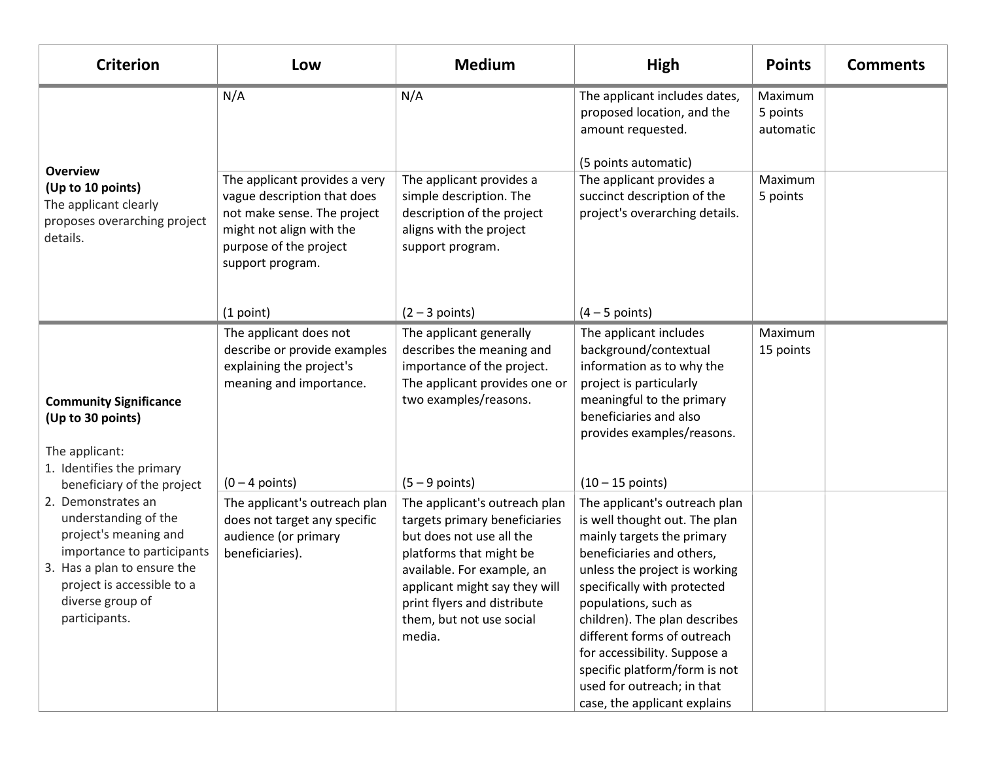| <b>Criterion</b>                                                                                                                                                                                                                                                                                                                       | Low                                                                                                                                                                   | <b>Medium</b>                                                                                                                                                                                                                                             | High                                                                                                                                                                                                                                                                                                                                                                                                             | <b>Points</b>                    | <b>Comments</b> |
|----------------------------------------------------------------------------------------------------------------------------------------------------------------------------------------------------------------------------------------------------------------------------------------------------------------------------------------|-----------------------------------------------------------------------------------------------------------------------------------------------------------------------|-----------------------------------------------------------------------------------------------------------------------------------------------------------------------------------------------------------------------------------------------------------|------------------------------------------------------------------------------------------------------------------------------------------------------------------------------------------------------------------------------------------------------------------------------------------------------------------------------------------------------------------------------------------------------------------|----------------------------------|-----------------|
| <b>Overview</b><br>(Up to 10 points)<br>The applicant clearly<br>proposes overarching project<br>details.                                                                                                                                                                                                                              | N/A                                                                                                                                                                   | N/A                                                                                                                                                                                                                                                       | The applicant includes dates,<br>proposed location, and the<br>amount requested.<br>(5 points automatic)                                                                                                                                                                                                                                                                                                         | Maximum<br>5 points<br>automatic |                 |
|                                                                                                                                                                                                                                                                                                                                        | The applicant provides a very<br>vague description that does<br>not make sense. The project<br>might not align with the<br>purpose of the project<br>support program. | The applicant provides a<br>simple description. The<br>description of the project<br>aligns with the project<br>support program.                                                                                                                          | The applicant provides a<br>succinct description of the<br>project's overarching details.                                                                                                                                                                                                                                                                                                                        | Maximum<br>5 points              |                 |
|                                                                                                                                                                                                                                                                                                                                        | (1 point)                                                                                                                                                             | $(2 - 3$ points)                                                                                                                                                                                                                                          | $(4 - 5$ points)                                                                                                                                                                                                                                                                                                                                                                                                 |                                  |                 |
| <b>Community Significance</b><br>(Up to 30 points)<br>The applicant:<br>1. Identifies the primary<br>beneficiary of the project<br>2. Demonstrates an<br>understanding of the<br>project's meaning and<br>importance to participants<br>3. Has a plan to ensure the<br>project is accessible to a<br>diverse group of<br>participants. | The applicant does not<br>describe or provide examples<br>explaining the project's<br>meaning and importance.                                                         | The applicant generally<br>describes the meaning and<br>importance of the project.<br>The applicant provides one or<br>two examples/reasons.                                                                                                              | The applicant includes<br>background/contextual<br>information as to why the<br>project is particularly<br>meaningful to the primary<br>beneficiaries and also<br>provides examples/reasons.                                                                                                                                                                                                                     | Maximum<br>15 points             |                 |
|                                                                                                                                                                                                                                                                                                                                        | $(0 - 4$ points)                                                                                                                                                      | $(5 - 9$ points)                                                                                                                                                                                                                                          | $(10 - 15 \text{ points})$                                                                                                                                                                                                                                                                                                                                                                                       |                                  |                 |
|                                                                                                                                                                                                                                                                                                                                        | The applicant's outreach plan<br>does not target any specific<br>audience (or primary<br>beneficiaries).                                                              | The applicant's outreach plan<br>targets primary beneficiaries<br>but does not use all the<br>platforms that might be<br>available. For example, an<br>applicant might say they will<br>print flyers and distribute<br>them, but not use social<br>media. | The applicant's outreach plan<br>is well thought out. The plan<br>mainly targets the primary<br>beneficiaries and others,<br>unless the project is working<br>specifically with protected<br>populations, such as<br>children). The plan describes<br>different forms of outreach<br>for accessibility. Suppose a<br>specific platform/form is not<br>used for outreach; in that<br>case, the applicant explains |                                  |                 |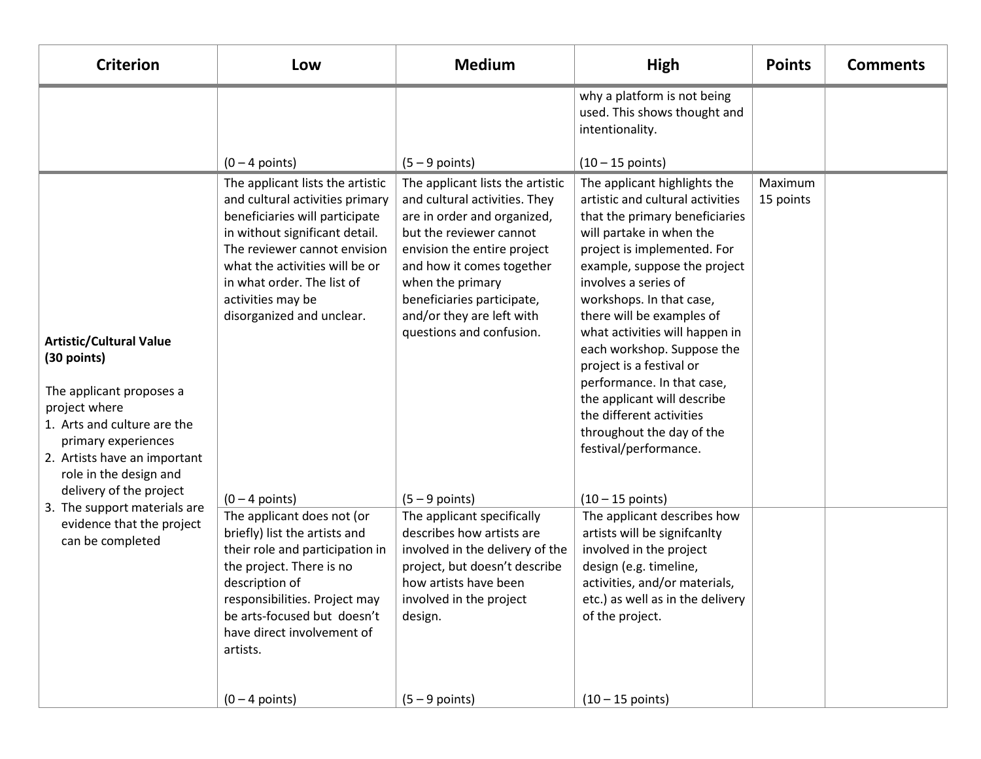| <b>Criterion</b>                                                                                                                                                                                                                                                                                                       | Low                                                                                                                                                                                                                                                                                            | <b>Medium</b>                                                                                                                                                                                                                                                                                      | High                                                                                                                                                                                                                                                                                                                                                                                                                                                                                                                      | <b>Points</b>        | <b>Comments</b> |
|------------------------------------------------------------------------------------------------------------------------------------------------------------------------------------------------------------------------------------------------------------------------------------------------------------------------|------------------------------------------------------------------------------------------------------------------------------------------------------------------------------------------------------------------------------------------------------------------------------------------------|----------------------------------------------------------------------------------------------------------------------------------------------------------------------------------------------------------------------------------------------------------------------------------------------------|---------------------------------------------------------------------------------------------------------------------------------------------------------------------------------------------------------------------------------------------------------------------------------------------------------------------------------------------------------------------------------------------------------------------------------------------------------------------------------------------------------------------------|----------------------|-----------------|
|                                                                                                                                                                                                                                                                                                                        |                                                                                                                                                                                                                                                                                                |                                                                                                                                                                                                                                                                                                    | why a platform is not being<br>used. This shows thought and<br>intentionality.                                                                                                                                                                                                                                                                                                                                                                                                                                            |                      |                 |
|                                                                                                                                                                                                                                                                                                                        | $(0 - 4$ points)                                                                                                                                                                                                                                                                               | $(5 - 9$ points)                                                                                                                                                                                                                                                                                   | $(10 - 15 \text{ points})$                                                                                                                                                                                                                                                                                                                                                                                                                                                                                                |                      |                 |
| <b>Artistic/Cultural Value</b><br>(30 points)<br>The applicant proposes a<br>project where<br>1. Arts and culture are the<br>primary experiences<br>2. Artists have an important<br>role in the design and<br>delivery of the project<br>3. The support materials are<br>evidence that the project<br>can be completed | The applicant lists the artistic<br>and cultural activities primary<br>beneficiaries will participate<br>in without significant detail.<br>The reviewer cannot envision<br>what the activities will be or<br>in what order. The list of<br>activities may be<br>disorganized and unclear.      | The applicant lists the artistic<br>and cultural activities. They<br>are in order and organized,<br>but the reviewer cannot<br>envision the entire project<br>and how it comes together<br>when the primary<br>beneficiaries participate,<br>and/or they are left with<br>questions and confusion. | The applicant highlights the<br>artistic and cultural activities<br>that the primary beneficiaries<br>will partake in when the<br>project is implemented. For<br>example, suppose the project<br>involves a series of<br>workshops. In that case,<br>there will be examples of<br>what activities will happen in<br>each workshop. Suppose the<br>project is a festival or<br>performance. In that case,<br>the applicant will describe<br>the different activities<br>throughout the day of the<br>festival/performance. | Maximum<br>15 points |                 |
|                                                                                                                                                                                                                                                                                                                        | $(0 - 4$ points)<br>The applicant does not (or<br>briefly) list the artists and<br>their role and participation in<br>the project. There is no<br>description of<br>responsibilities. Project may<br>be arts-focused but doesn't<br>have direct involvement of<br>artists.<br>$(0 - 4$ points) | $(5 - 9$ points)<br>The applicant specifically<br>describes how artists are<br>involved in the delivery of the<br>project, but doesn't describe<br>how artists have been<br>involved in the project<br>design.<br>$(5 - 9$ points)                                                                 | $(10 - 15 \text{ points})$<br>The applicant describes how<br>artists will be signifcanlty<br>involved in the project<br>design (e.g. timeline,<br>activities, and/or materials,<br>etc.) as well as in the delivery<br>of the project.<br>$(10 - 15 \text{ points})$                                                                                                                                                                                                                                                      |                      |                 |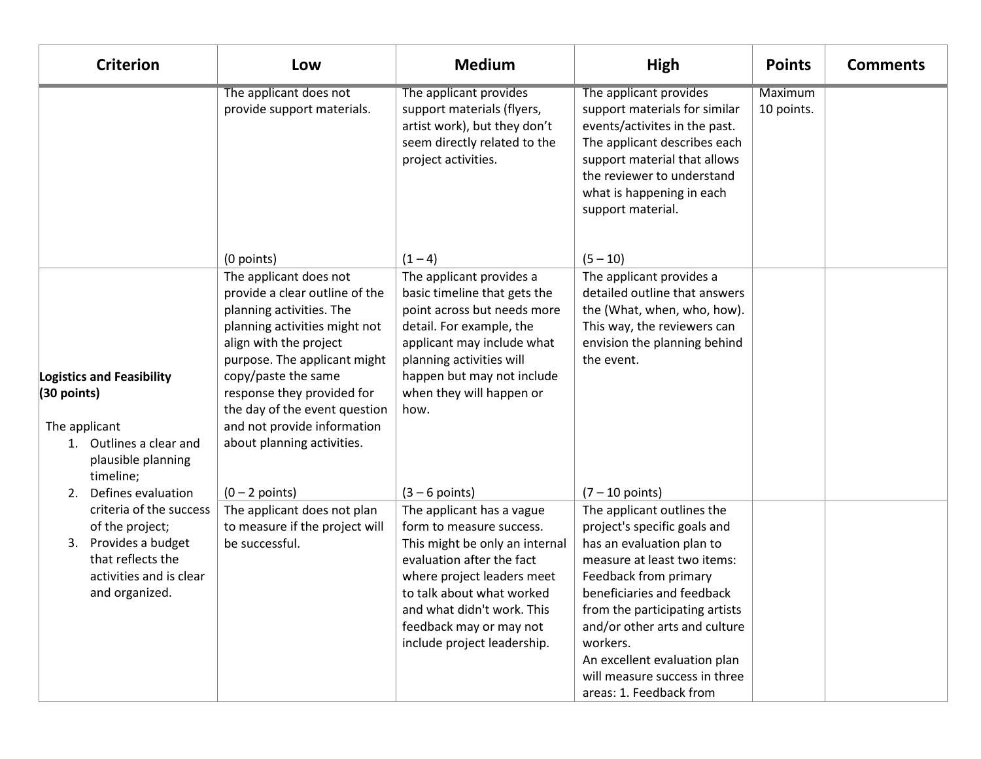| <b>Criterion</b>                                                                                                                                                    | Low                                                                                                                                                                                                                                                                                                                                              | <b>Medium</b>                                                                                                                                                                                                                                                                               | <b>High</b>                                                                                                                                                                                                                                                                                                                                                                   | <b>Points</b>         | <b>Comments</b> |
|---------------------------------------------------------------------------------------------------------------------------------------------------------------------|--------------------------------------------------------------------------------------------------------------------------------------------------------------------------------------------------------------------------------------------------------------------------------------------------------------------------------------------------|---------------------------------------------------------------------------------------------------------------------------------------------------------------------------------------------------------------------------------------------------------------------------------------------|-------------------------------------------------------------------------------------------------------------------------------------------------------------------------------------------------------------------------------------------------------------------------------------------------------------------------------------------------------------------------------|-----------------------|-----------------|
|                                                                                                                                                                     | The applicant does not<br>provide support materials.                                                                                                                                                                                                                                                                                             | The applicant provides<br>support materials (flyers,<br>artist work), but they don't<br>seem directly related to the<br>project activities.                                                                                                                                                 | The applicant provides<br>support materials for similar<br>events/activites in the past.<br>The applicant describes each<br>support material that allows<br>the reviewer to understand<br>what is happening in each<br>support material.                                                                                                                                      | Maximum<br>10 points. |                 |
| <b>Logistics and Feasibility</b><br>$(30$ points)<br>The applicant<br>1. Outlines a clear and<br>plausible planning<br>timeline;                                    | (0 points)<br>The applicant does not<br>provide a clear outline of the<br>planning activities. The<br>planning activities might not<br>align with the project<br>purpose. The applicant might<br>copy/paste the same<br>response they provided for<br>the day of the event question<br>and not provide information<br>about planning activities. | $(1 - 4)$<br>The applicant provides a<br>basic timeline that gets the<br>point across but needs more<br>detail. For example, the<br>applicant may include what<br>planning activities will<br>happen but may not include<br>when they will happen or<br>how.                                | $(5 - 10)$<br>The applicant provides a<br>detailed outline that answers<br>the (What, when, who, how).<br>This way, the reviewers can<br>envision the planning behind<br>the event.                                                                                                                                                                                           |                       |                 |
| Defines evaluation<br>2.<br>criteria of the success<br>of the project;<br>Provides a budget<br>3.<br>that reflects the<br>activities and is clear<br>and organized. | $(0 - 2$ points)<br>The applicant does not plan<br>to measure if the project will<br>be successful.                                                                                                                                                                                                                                              | $(3 - 6$ points)<br>The applicant has a vague<br>form to measure success.<br>This might be only an internal<br>evaluation after the fact<br>where project leaders meet<br>to talk about what worked<br>and what didn't work. This<br>feedback may or may not<br>include project leadership. | $(7 - 10$ points)<br>The applicant outlines the<br>project's specific goals and<br>has an evaluation plan to<br>measure at least two items:<br>Feedback from primary<br>beneficiaries and feedback<br>from the participating artists<br>and/or other arts and culture<br>workers.<br>An excellent evaluation plan<br>will measure success in three<br>areas: 1. Feedback from |                       |                 |